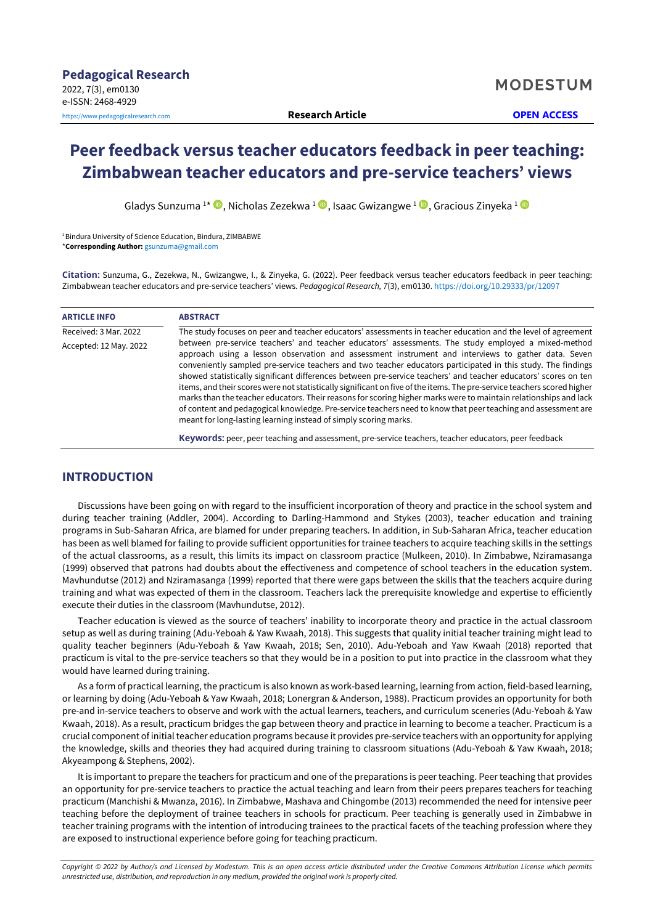# **Peer feedback versus teacher educators feedback in peer teaching: Zimbabwean teacher educators and pre-service teachers' views**

Gladys Sunzuma <sup>1\*</sup> <sup>1</sup>[,](https://orcid.org/0000-0002-4679-1464) Nicholas Zezekwa <sup>1</sup> D, Isaac Gwizangwe <sup>1</sup> D, Gracious Zinyeka <sup>1</sup>

<sup>1</sup> Bindura University of Science Education, Bindura, ZIMBABWE \***Corresponding Author:** [gsunzuma@gmail.com](mailto:gsunzuma@gmail.com)

**Citation:** Sunzuma, G., Zezekwa, N., Gwizangwe, I., & Zinyeka, G. (2022). Peer feedback versus teacher educators feedback in peer teaching: Zimbabwean teacher educators and pre-service teachers' views. *Pedagogical Research, 7*(3), em0130. <https://doi.org/10.29333/pr/12097>

| <b>ARTICLE INFO</b>    | <b>ABSTRACT</b>                                                                                                                                                                                                                                                                                                                                                                                                                                                                                                                                                                                                                                                                                                                                                                                                                                                                  |  |  |  |  |  |
|------------------------|----------------------------------------------------------------------------------------------------------------------------------------------------------------------------------------------------------------------------------------------------------------------------------------------------------------------------------------------------------------------------------------------------------------------------------------------------------------------------------------------------------------------------------------------------------------------------------------------------------------------------------------------------------------------------------------------------------------------------------------------------------------------------------------------------------------------------------------------------------------------------------|--|--|--|--|--|
| Received: 3 Mar. 2022  | The study focuses on peer and teacher educators' assessments in teacher education and the level of agreement                                                                                                                                                                                                                                                                                                                                                                                                                                                                                                                                                                                                                                                                                                                                                                     |  |  |  |  |  |
| Accepted: 12 May. 2022 | between pre-service teachers' and teacher educators' assessments. The study employed a mixed-method<br>approach using a lesson observation and assessment instrument and interviews to gather data. Seven<br>conveniently sampled pre-service teachers and two teacher educators participated in this study. The findings<br>showed statistically significant differences between pre-service teachers' and teacher educators' scores on ten<br>items, and their scores were not statistically significant on five of the items. The pre-service teachers scored higher<br>marks than the teacher educators. Their reasons for scoring higher marks were to maintain relationships and lack<br>of content and pedagogical knowledge. Pre-service teachers need to know that peer teaching and assessment are<br>meant for long-lasting learning instead of simply scoring marks. |  |  |  |  |  |
|                        | <b>Keywords:</b> peer, peer teaching and assessment, pre-service teachers, teacher educators, peer feedback                                                                                                                                                                                                                                                                                                                                                                                                                                                                                                                                                                                                                                                                                                                                                                      |  |  |  |  |  |

# **INTRODUCTION**

Discussions have been going on with regard to the insufficient incorporation of theory and practice in the school system and during teacher training (Addler, 2004). According to Darling-Hammond and Stykes (2003), teacher education and training programs in Sub-Saharan Africa, are blamed for under preparing teachers. In addition, in Sub-Saharan Africa, teacher education has been as well blamed for failing to provide sufficient opportunities for trainee teachers to acquire teaching skills in the settings of the actual classrooms, as a result, this limits its impact on classroom practice (Mulkeen, 2010). In Zimbabwe, Nziramasanga (1999) observed that patrons had doubts about the effectiveness and competence of school teachers in the education system. Mavhundutse (2012) and Nziramasanga (1999) reported that there were gaps between the skills that the teachers acquire during training and what was expected of them in the classroom. Teachers lack the prerequisite knowledge and expertise to efficiently execute their duties in the classroom (Mavhundutse, 2012).

Teacher education is viewed as the source of teachers' inability to incorporate theory and practice in the actual classroom setup as well as during training (Adu-Yeboah & Yaw Kwaah, 2018). This suggests that quality initial teacher training might lead to quality teacher beginners (Adu-Yeboah & Yaw Kwaah, 2018; Sen, 2010). Adu-Yeboah and Yaw Kwaah (2018) reported that practicum is vital to the pre-service teachers so that they would be in a position to put into practice in the classroom what they would have learned during training.

As a form of practical learning, the practicum is also known as work-based learning, learning from action, field-based learning, or learning by doing (Adu-Yeboah & Yaw Kwaah, 2018; Lonergran & Anderson, 1988). Practicum provides an opportunity for both pre-and in-service teachers to observe and work with the actual learners, teachers, and curriculum sceneries (Adu-Yeboah & Yaw Kwaah, 2018). As a result, practicum bridges the gap between theory and practice in learning to become a teacher. Practicum is a crucial component of initial teacher education programs because it provides pre-service teachers with an opportunity for applying the knowledge, skills and theories they had acquired during training to classroom situations (Adu-Yeboah & Yaw Kwaah, 2018; Akyeampong & Stephens, 2002).

It is important to prepare the teachers for practicum and one of the preparations is peer teaching. Peer teaching that provides an opportunity for pre-service teachers to practice the actual teaching and learn from their peers prepares teachers for teaching practicum (Manchishi & Mwanza, 2016). In Zimbabwe, Mashava and Chingombe (2013) recommended the need for intensive peer teaching before the deployment of trainee teachers in schools for practicum. Peer teaching is generally used in Zimbabwe in teacher training programs with the intention of introducing trainees to the practical facets of the teaching profession where they are exposed to instructional experience before going for teaching practicum.

Copyright © 2022 by Author/s and Licensed by Modestum. This is an open access article distributed under the Creative Commons Attribution License which permits *unrestricted use, distribution, and reproduction in any medium, provided the original work is properly cited.*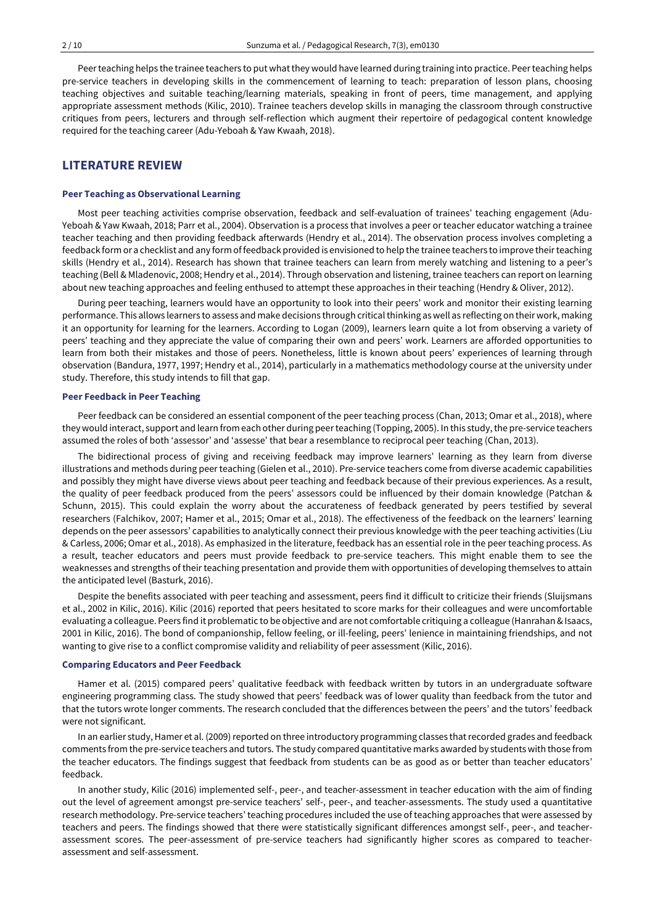Peerteaching helps the trainee teachers to put whatthey would have learned during training into practice. Peerteaching helps pre-service teachers in developing skills in the commencement of learning to teach: preparation of lesson plans, choosing teaching objectives and suitable teaching/learning materials, speaking in front of peers, time management, and applying appropriate assessment methods (Kilic, 2010). Trainee teachers develop skills in managing the classroom through constructive critiques from peers, lecturers and through self-reflection which augment their repertoire of pedagogical content knowledge required for the teaching career (Adu-Yeboah & Yaw Kwaah, 2018).

# **LITERATURE REVIEW**

#### **Peer Teaching as Observational Learning**

Most peer teaching activities comprise observation, feedback and self-evaluation of trainees' teaching engagement (Adu-Yeboah & Yaw Kwaah, 2018; Parr et al., 2004). Observation is a process that involves a peer or teacher educator watching a trainee teacher teaching and then providing feedback afterwards (Hendry et al., 2014). The observation process involves completing a feedback form or a checklist and any form of feedback provided is envisioned to help the trainee teachers to improve theirteaching skills (Hendry et al., 2014). Research has shown that trainee teachers can learn from merely watching and listening to a peer's teaching (Bell & Mladenovic, 2008; Hendry et al., 2014). Through observation and listening, trainee teachers can report on learning about new teaching approaches and feeling enthused to attempt these approaches in their teaching (Hendry & Oliver, 2012).

During peer teaching, learners would have an opportunity to look into their peers' work and monitor their existing learning performance. This allows learners to assess and make decisions through criticalthinking aswell as reflecting on their work, making it an opportunity for learning for the learners. According to Logan (2009), learners learn quite a lot from observing a variety of peers' teaching and they appreciate the value of comparing their own and peers' work. Learners are afforded opportunities to learn from both their mistakes and those of peers. Nonetheless, little is known about peers' experiences of learning through observation (Bandura, 1977, 1997; Hendry et al., 2014), particularly in a mathematics methodology course at the university under study. Therefore, this study intends to fill that gap.

#### **Peer Feedback in Peer Teaching**

Peer feedback can be considered an essential component of the peer teaching process (Chan, 2013; Omar et al., 2018), where they would interact, support and learn from each other during peer teaching (Topping, 2005). In this study, the pre-service teachers assumed the roles of both 'assessor' and 'assesse' that bear a resemblance to reciprocal peer teaching (Chan, 2013).

The bidirectional process of giving and receiving feedback may improve learners' learning as they learn from diverse illustrations and methods during peer teaching (Gielen et al., 2010). Pre-service teachers come from diverse academic capabilities and possibly they might have diverse views about peer teaching and feedback because of their previous experiences. As a result, the quality of peer feedback produced from the peers' assessors could be influenced by their domain knowledge (Patchan & Schunn, 2015). This could explain the worry about the accurateness of feedback generated by peers testified by several researchers (Falchikov, 2007; Hamer et al., 2015; Omar et al., 2018). The effectiveness of the feedback on the learners' learning depends on the peer assessors' capabilities to analytically connect their previous knowledge with the peer teaching activities (Liu & Carless, 2006; Omar et al., 2018). As emphasized in the literature, feedback has an essential role in the peer teaching process. As a result, teacher educators and peers must provide feedback to pre-service teachers. This might enable them to see the weaknesses and strengths of their teaching presentation and provide them with opportunities of developing themselves to attain the anticipated level (Basturk, 2016).

Despite the benefits associated with peer teaching and assessment, peers find it difficult to criticize their friends (Sluijsmans et al., 2002 in Kilic, 2016). Kilic (2016) reported that peers hesitated to score marks for their colleagues and were uncomfortable evaluating a colleague. Peers find it problematic to be objective and are not comfortable critiquing a colleague (Hanrahan&Isaacs, 2001 in Kilic, 2016). The bond of companionship, fellow feeling, or ill-feeling, peers' lenience in maintaining friendships, and not wanting to give rise to a conflict compromise validity and reliability of peer assessment (Kilic, 2016).

#### **Comparing Educators and Peer Feedback**

Hamer et al. (2015) compared peers' qualitative feedback with feedback written by tutors in an undergraduate software engineering programming class. The study showed that peers' feedback was of lower quality than feedback from the tutor and that the tutors wrote longer comments. The research concluded that the differences between the peers' and the tutors' feedback were not significant.

In an earlier study, Hamer et al. (2009) reported on three introductory programming classes that recorded grades and feedback comments from the pre-service teachers and tutors. The study compared quantitative marks awarded by students with those from the teacher educators. The findings suggest that feedback from students can be as good as or better than teacher educators' feedback.

In another study, Kilic (2016) implemented self-, peer-, and teacher-assessment in teacher education with the aim of finding out the level of agreement amongst pre-service teachers' self-, peer-, and teacher-assessments. The study used a quantitative research methodology. Pre-service teachers' teaching procedures included the use of teaching approaches that were assessed by teachers and peers. The findings showed that there were statistically significant differences amongst self-, peer-, and teacherassessment scores. The peer-assessment of pre-service teachers had significantly higher scores as compared to teacherassessment and self-assessment.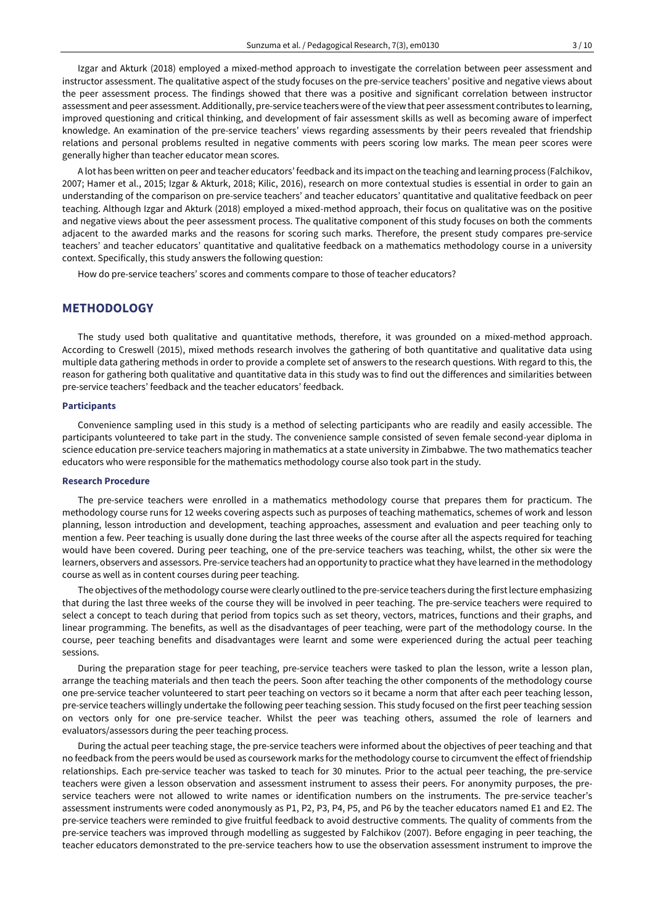Izgar and Akturk (2018) employed a mixed-method approach to investigate the correlation between peer assessment and instructor assessment. The qualitative aspect of the study focuses on the pre-service teachers' positive and negative views about the peer assessment process. The findings showed that there was a positive and significant correlation between instructor assessment and peer assessment. Additionally, pre-service teachers were of the view that peer assessment contributes to learning, improved questioning and critical thinking, and development of fair assessment skills as well as becoming aware of imperfect knowledge. An examination of the pre-service teachers' views regarding assessments by their peers revealed that friendship relations and personal problems resulted in negative comments with peers scoring low marks. The mean peer scores were generally higher than teacher educator mean scores.

A lot has been written on peer and teacher educators' feedback and its impact on the teaching and learning process (Falchikov, 2007; Hamer et al., 2015; Izgar & Akturk, 2018; Kilic, 2016), research on more contextual studies is essential in order to gain an understanding of the comparison on pre-service teachers' and teacher educators' quantitative and qualitative feedback on peer teaching. Although Izgar and Akturk (2018) employed a mixed-method approach, their focus on qualitative was on the positive and negative views about the peer assessment process. The qualitative component of this study focuses on both the comments adjacent to the awarded marks and the reasons for scoring such marks. Therefore, the present study compares pre-service teachers' and teacher educators' quantitative and qualitative feedback on a mathematics methodology course in a university context. Specifically, this study answers the following question:

How do pre-service teachers' scores and comments compare to those of teacher educators?

# **METHODOLOGY**

The study used both qualitative and quantitative methods, therefore, it was grounded on a mixed-method approach. According to Creswell (2015), mixed methods research involves the gathering of both quantitative and qualitative data using multiple data gathering methods in order to provide a complete set of answers to the research questions. With regard to this, the reason for gathering both qualitative and quantitative data in this study was to find out the differences and similarities between pre-service teachers' feedback and the teacher educators' feedback.

#### **Participants**

Convenience sampling used in this study is a method of selecting participants who are readily and easily accessible. The participants volunteered to take part in the study. The convenience sample consisted of seven female second-year diploma in science education pre-service teachers majoring in mathematics at a state university in Zimbabwe. The two mathematics teacher educators who were responsible for the mathematics methodology course also took part in the study.

#### **Research Procedure**

The pre-service teachers were enrolled in a mathematics methodology course that prepares them for practicum. The methodology course runs for 12 weeks covering aspects such as purposes of teaching mathematics, schemes of work and lesson planning, lesson introduction and development, teaching approaches, assessment and evaluation and peer teaching only to mention a few. Peer teaching is usually done during the last three weeks of the course after all the aspects required for teaching would have been covered. During peer teaching, one of the pre-service teachers was teaching, whilst, the other six were the learners, observers and assessors. Pre-service teachers had an opportunity to practice whatthey have learned in the methodology course as well as in content courses during peer teaching.

The objectives ofthe methodology course were clearly outlined to the pre-service teachers during the firstlecture emphasizing that during the last three weeks of the course they will be involved in peer teaching. The pre-service teachers were required to select a concept to teach during that period from topics such as set theory, vectors, matrices, functions and their graphs, and linear programming. The benefits, as well as the disadvantages of peer teaching, were part of the methodology course. In the course, peer teaching benefits and disadvantages were learnt and some were experienced during the actual peer teaching sessions.

During the preparation stage for peer teaching, pre-service teachers were tasked to plan the lesson, write a lesson plan, arrange the teaching materials and then teach the peers. Soon after teaching the other components of the methodology course one pre-service teacher volunteered to start peer teaching on vectors so it became a norm that after each peer teaching lesson, pre-service teachers willingly undertake the following peer teaching session. This study focused on the first peer teaching session on vectors only for one pre-service teacher. Whilst the peer was teaching others, assumed the role of learners and evaluators/assessors during the peer teaching process.

During the actual peer teaching stage, the pre-service teachers were informed about the objectives of peer teaching and that no feedback from the peers would be used as coursework marks for the methodology course to circumvent the effect of friendship relationships. Each pre-service teacher was tasked to teach for 30 minutes. Prior to the actual peer teaching, the pre-service teachers were given a lesson observation and assessment instrument to assess their peers. For anonymity purposes, the preservice teachers were not allowed to write names or identification numbers on the instruments. The pre-service teacher's assessment instruments were coded anonymously as P1, P2, P3, P4, P5, and P6 by the teacher educators named E1 and E2. The pre-service teachers were reminded to give fruitful feedback to avoid destructive comments. The quality of comments from the pre-service teachers was improved through modelling as suggested by Falchikov (2007). Before engaging in peer teaching, the teacher educators demonstrated to the pre-service teachers how to use the observation assessment instrument to improve the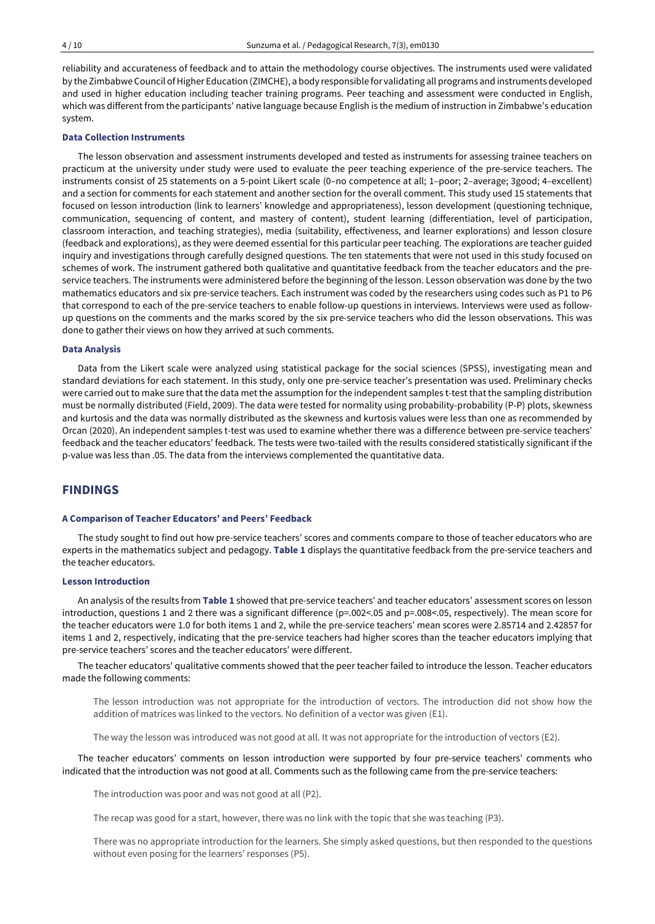reliability and accurateness of feedback and to attain the methodology course objectives. The instruments used were validated by the Zimbabwe Council ofHigher Education (ZIMCHE), a body responsible for validating all programs and instruments developed and used in higher education including teacher training programs. Peer teaching and assessment were conducted in English, which was different from the participants' native language because English is the medium of instruction in Zimbabwe's education system.

### **Data Collection Instruments**

The lesson observation and assessment instruments developed and tested as instruments for assessing trainee teachers on practicum at the university under study were used to evaluate the peer teaching experience of the pre-service teachers. The instruments consist of 25 statements on a 5-point Likert scale (0–no competence at all; 1–poor; 2–average; 3good; 4–excellent) and a section for comments for each statement and another section for the overall comment. This study used 15 statements that focused on lesson introduction (link to learners' knowledge and appropriateness), lesson development (questioning technique, communication, sequencing of content, and mastery of content), student learning (differentiation, level of participation, classroom interaction, and teaching strategies), media (suitability, effectiveness, and learner explorations) and lesson closure (feedback and explorations), as they were deemed essential for this particular peer teaching. The explorations are teacher guided inquiry and investigations through carefully designed questions. The ten statements that were not used in this study focused on schemes of work. The instrument gathered both qualitative and quantitative feedback from the teacher educators and the preservice teachers. The instruments were administered before the beginning of the lesson. Lesson observation was done by the two mathematics educators and six pre-service teachers. Each instrument was coded by the researchers using codes such as P1 to P6 that correspond to each of the pre-service teachers to enable follow-up questions in interviews. Interviews were used as followup questions on the comments and the marks scored by the six pre-service teachers who did the lesson observations. This was done to gather their views on how they arrived at such comments.

#### **Data Analysis**

Data from the Likert scale were analyzed using statistical package for the social sciences (SPSS), investigating mean and standard deviations for each statement. In this study, only one pre-service teacher's presentation was used. Preliminary checks were carried out to make sure that the data met the assumption for the independent samples t-test that the sampling distribution must be normally distributed (Field, 2009). The data were tested for normality using probability-probability (P-P) plots, skewness and kurtosis and the data was normally distributed as the skewness and kurtosis values were less than one as recommended by Orcan (2020). An independent samples t-test was used to examine whether there was a difference between pre-service teachers' feedback and the teacher educators' feedback. The tests were two-tailed with the results considered statistically significant if the p-value was less than .05. The data from the interviews complemented the quantitative data.

# **FINDINGS**

#### **A Comparison of Teacher Educators' and Peers' Feedback**

The study sought to find out how pre-service teachers' scores and comments compare to those of teacher educators who are experts in the mathematics subject and pedagogy. **Table 1** displays the quantitative feedback from the pre-service teachers and the teacher educators.

#### **Lesson Introduction**

An analysis of the results from **Table 1** showed that pre-service teachers' and teacher educators' assessment scores on lesson introduction, questions 1 and 2 there was a significant difference (p=.002<.05 and p=.008<.05, respectively). The mean score for the teacher educators were 1.0 for both items 1 and 2, while the pre-service teachers' mean scores were 2.85714 and 2.42857 for items 1 and 2, respectively, indicating that the pre-service teachers had higher scores than the teacher educators implying that pre-service teachers' scores and the teacher educators' were different.

The teacher educators' qualitative comments showed that the peer teacher failed to introduce the lesson. Teacher educators made the following comments:

The lesson introduction was not appropriate for the introduction of vectors. The introduction did not show how the addition of matrices was linked to the vectors. No definition of a vector was given (E1).

The way the lesson was introduced was not good at all. It was not appropriate for the introduction of vectors (E2).

The teacher educators' comments on lesson introduction were supported by four pre-service teachers' comments who indicated that the introduction was not good at all. Comments such as the following came from the pre-service teachers:

The introduction was poor and was not good at all (P2).

The recap was good for a start, however, there was no link with the topic that she was teaching (P3).

There was no appropriate introduction for the learners. She simply asked questions, but then responded to the questions without even posing for the learners' responses (P5).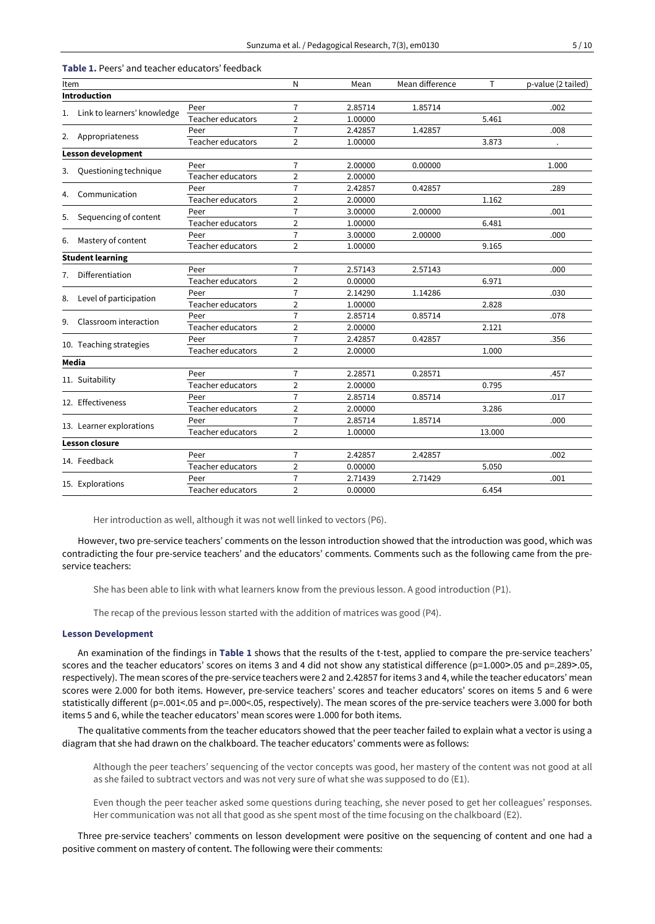| <b>Introduction</b><br>$\overline{7}$<br>2.85714<br>1.85714<br>.002<br>Peer<br>1. Link to learners' knowledge<br>Teacher educators<br>$\overline{2}$<br>1.00000<br>5.461<br>$\overline{7}$<br>2.42857<br>1.42857<br>.008<br>Peer<br>2. Appropriateness<br>Teacher educators<br>$\overline{2}$<br>1.00000<br>3.873<br><b>Lesson development</b><br>$\overline{7}$<br>2.00000<br>0.00000<br>1.000<br>Peer<br>Questioning technique<br>3.<br>Teacher educators<br>$\overline{2}$<br>2.00000<br>$\overline{7}$<br>2.42857<br>0.42857<br>.289<br>Peer<br>Communication<br>4.<br>$\overline{2}$<br>Teacher educators<br>2.00000<br>1.162<br>$\overline{7}$<br>3.00000<br>2.00000<br>.001<br>Peer<br>Sequencing of content<br>5.<br>Teacher educators<br>$\overline{2}$<br>1.00000<br>6.481<br>$\overline{7}$<br>3.00000<br>2.00000<br>.000<br>Peer<br>Mastery of content<br>Teacher educators<br>2<br>1.00000<br>9.165<br><b>Student learning</b><br>$\overline{7}$<br>2.57143<br>2.57143<br>.000<br>Peer<br>Differentiation<br>7.<br>$\overline{2}$<br>Teacher educators<br>0.00000<br>6.971<br>$\overline{7}$<br>2.14290<br>1.14286<br>.030<br>Peer<br>Level of participation<br>8.<br>$\overline{2}$<br>Teacher educators<br>1.00000<br>2.828<br>$\overline{7}$<br>2.85714<br>0.85714<br>.078<br>Peer<br>Classroom interaction<br>9.<br>Teacher educators<br>2<br>2.121<br>2.00000<br>$\overline{7}$<br>2.42857<br>0.42857<br>.356<br>Peer<br>10. Teaching strategies<br>Teacher educators<br>2<br>2.00000<br>1.000<br>Media<br>2.28571<br>7<br>0.28571<br>.457<br>Peer<br>11. Suitability<br>Teacher educators<br>$\overline{2}$<br>2.00000<br>0.795<br>$\overline{7}$<br>2.85714<br>0.85714<br>.017<br>Peer<br>12. Effectiveness<br>Teacher educators<br>$\overline{2}$<br>2.00000<br>3.286<br>$\overline{7}$<br>2.85714<br>1.85714<br>Peer<br>.000<br>13. Learner explorations<br>Teacher educators<br>2<br>1.00000<br>13.000<br><b>Lesson closure</b><br>$\overline{7}$<br>2.42857<br>2.42857<br>Peer<br>.002<br>14. Feedback<br>$\overline{2}$<br>0.00000<br>Teacher educators<br>5.050<br>$\overline{7}$<br>2.71439<br>2.71429<br>.001<br>Peer<br>15. Explorations<br>$\overline{2}$<br>Teacher educators<br>0.00000<br>6.454 | Item |  | N | Mean | Mean difference | T | p-value (2 tailed) |
|----------------------------------------------------------------------------------------------------------------------------------------------------------------------------------------------------------------------------------------------------------------------------------------------------------------------------------------------------------------------------------------------------------------------------------------------------------------------------------------------------------------------------------------------------------------------------------------------------------------------------------------------------------------------------------------------------------------------------------------------------------------------------------------------------------------------------------------------------------------------------------------------------------------------------------------------------------------------------------------------------------------------------------------------------------------------------------------------------------------------------------------------------------------------------------------------------------------------------------------------------------------------------------------------------------------------------------------------------------------------------------------------------------------------------------------------------------------------------------------------------------------------------------------------------------------------------------------------------------------------------------------------------------------------------------------------------------------------------------------------------------------------------------------------------------------------------------------------------------------------------------------------------------------------------------------------------------------------------------------------------------------------------------------------------------------------------------------------------------------------------------------------------------------------------------------------------------------------------------|------|--|---|------|-----------------|---|--------------------|
|                                                                                                                                                                                                                                                                                                                                                                                                                                                                                                                                                                                                                                                                                                                                                                                                                                                                                                                                                                                                                                                                                                                                                                                                                                                                                                                                                                                                                                                                                                                                                                                                                                                                                                                                                                                                                                                                                                                                                                                                                                                                                                                                                                                                                                  |      |  |   |      |                 |   |                    |
|                                                                                                                                                                                                                                                                                                                                                                                                                                                                                                                                                                                                                                                                                                                                                                                                                                                                                                                                                                                                                                                                                                                                                                                                                                                                                                                                                                                                                                                                                                                                                                                                                                                                                                                                                                                                                                                                                                                                                                                                                                                                                                                                                                                                                                  |      |  |   |      |                 |   |                    |
|                                                                                                                                                                                                                                                                                                                                                                                                                                                                                                                                                                                                                                                                                                                                                                                                                                                                                                                                                                                                                                                                                                                                                                                                                                                                                                                                                                                                                                                                                                                                                                                                                                                                                                                                                                                                                                                                                                                                                                                                                                                                                                                                                                                                                                  |      |  |   |      |                 |   |                    |
|                                                                                                                                                                                                                                                                                                                                                                                                                                                                                                                                                                                                                                                                                                                                                                                                                                                                                                                                                                                                                                                                                                                                                                                                                                                                                                                                                                                                                                                                                                                                                                                                                                                                                                                                                                                                                                                                                                                                                                                                                                                                                                                                                                                                                                  |      |  |   |      |                 |   |                    |
|                                                                                                                                                                                                                                                                                                                                                                                                                                                                                                                                                                                                                                                                                                                                                                                                                                                                                                                                                                                                                                                                                                                                                                                                                                                                                                                                                                                                                                                                                                                                                                                                                                                                                                                                                                                                                                                                                                                                                                                                                                                                                                                                                                                                                                  |      |  |   |      |                 |   |                    |
|                                                                                                                                                                                                                                                                                                                                                                                                                                                                                                                                                                                                                                                                                                                                                                                                                                                                                                                                                                                                                                                                                                                                                                                                                                                                                                                                                                                                                                                                                                                                                                                                                                                                                                                                                                                                                                                                                                                                                                                                                                                                                                                                                                                                                                  |      |  |   |      |                 |   |                    |
|                                                                                                                                                                                                                                                                                                                                                                                                                                                                                                                                                                                                                                                                                                                                                                                                                                                                                                                                                                                                                                                                                                                                                                                                                                                                                                                                                                                                                                                                                                                                                                                                                                                                                                                                                                                                                                                                                                                                                                                                                                                                                                                                                                                                                                  |      |  |   |      |                 |   |                    |
|                                                                                                                                                                                                                                                                                                                                                                                                                                                                                                                                                                                                                                                                                                                                                                                                                                                                                                                                                                                                                                                                                                                                                                                                                                                                                                                                                                                                                                                                                                                                                                                                                                                                                                                                                                                                                                                                                                                                                                                                                                                                                                                                                                                                                                  |      |  |   |      |                 |   |                    |
|                                                                                                                                                                                                                                                                                                                                                                                                                                                                                                                                                                                                                                                                                                                                                                                                                                                                                                                                                                                                                                                                                                                                                                                                                                                                                                                                                                                                                                                                                                                                                                                                                                                                                                                                                                                                                                                                                                                                                                                                                                                                                                                                                                                                                                  |      |  |   |      |                 |   |                    |
|                                                                                                                                                                                                                                                                                                                                                                                                                                                                                                                                                                                                                                                                                                                                                                                                                                                                                                                                                                                                                                                                                                                                                                                                                                                                                                                                                                                                                                                                                                                                                                                                                                                                                                                                                                                                                                                                                                                                                                                                                                                                                                                                                                                                                                  |      |  |   |      |                 |   |                    |
|                                                                                                                                                                                                                                                                                                                                                                                                                                                                                                                                                                                                                                                                                                                                                                                                                                                                                                                                                                                                                                                                                                                                                                                                                                                                                                                                                                                                                                                                                                                                                                                                                                                                                                                                                                                                                                                                                                                                                                                                                                                                                                                                                                                                                                  |      |  |   |      |                 |   |                    |
|                                                                                                                                                                                                                                                                                                                                                                                                                                                                                                                                                                                                                                                                                                                                                                                                                                                                                                                                                                                                                                                                                                                                                                                                                                                                                                                                                                                                                                                                                                                                                                                                                                                                                                                                                                                                                                                                                                                                                                                                                                                                                                                                                                                                                                  |      |  |   |      |                 |   |                    |
|                                                                                                                                                                                                                                                                                                                                                                                                                                                                                                                                                                                                                                                                                                                                                                                                                                                                                                                                                                                                                                                                                                                                                                                                                                                                                                                                                                                                                                                                                                                                                                                                                                                                                                                                                                                                                                                                                                                                                                                                                                                                                                                                                                                                                                  | 6.   |  |   |      |                 |   |                    |
|                                                                                                                                                                                                                                                                                                                                                                                                                                                                                                                                                                                                                                                                                                                                                                                                                                                                                                                                                                                                                                                                                                                                                                                                                                                                                                                                                                                                                                                                                                                                                                                                                                                                                                                                                                                                                                                                                                                                                                                                                                                                                                                                                                                                                                  |      |  |   |      |                 |   |                    |
|                                                                                                                                                                                                                                                                                                                                                                                                                                                                                                                                                                                                                                                                                                                                                                                                                                                                                                                                                                                                                                                                                                                                                                                                                                                                                                                                                                                                                                                                                                                                                                                                                                                                                                                                                                                                                                                                                                                                                                                                                                                                                                                                                                                                                                  |      |  |   |      |                 |   |                    |
|                                                                                                                                                                                                                                                                                                                                                                                                                                                                                                                                                                                                                                                                                                                                                                                                                                                                                                                                                                                                                                                                                                                                                                                                                                                                                                                                                                                                                                                                                                                                                                                                                                                                                                                                                                                                                                                                                                                                                                                                                                                                                                                                                                                                                                  |      |  |   |      |                 |   |                    |
|                                                                                                                                                                                                                                                                                                                                                                                                                                                                                                                                                                                                                                                                                                                                                                                                                                                                                                                                                                                                                                                                                                                                                                                                                                                                                                                                                                                                                                                                                                                                                                                                                                                                                                                                                                                                                                                                                                                                                                                                                                                                                                                                                                                                                                  |      |  |   |      |                 |   |                    |
|                                                                                                                                                                                                                                                                                                                                                                                                                                                                                                                                                                                                                                                                                                                                                                                                                                                                                                                                                                                                                                                                                                                                                                                                                                                                                                                                                                                                                                                                                                                                                                                                                                                                                                                                                                                                                                                                                                                                                                                                                                                                                                                                                                                                                                  |      |  |   |      |                 |   |                    |
|                                                                                                                                                                                                                                                                                                                                                                                                                                                                                                                                                                                                                                                                                                                                                                                                                                                                                                                                                                                                                                                                                                                                                                                                                                                                                                                                                                                                                                                                                                                                                                                                                                                                                                                                                                                                                                                                                                                                                                                                                                                                                                                                                                                                                                  |      |  |   |      |                 |   |                    |
|                                                                                                                                                                                                                                                                                                                                                                                                                                                                                                                                                                                                                                                                                                                                                                                                                                                                                                                                                                                                                                                                                                                                                                                                                                                                                                                                                                                                                                                                                                                                                                                                                                                                                                                                                                                                                                                                                                                                                                                                                                                                                                                                                                                                                                  |      |  |   |      |                 |   |                    |
|                                                                                                                                                                                                                                                                                                                                                                                                                                                                                                                                                                                                                                                                                                                                                                                                                                                                                                                                                                                                                                                                                                                                                                                                                                                                                                                                                                                                                                                                                                                                                                                                                                                                                                                                                                                                                                                                                                                                                                                                                                                                                                                                                                                                                                  |      |  |   |      |                 |   |                    |
|                                                                                                                                                                                                                                                                                                                                                                                                                                                                                                                                                                                                                                                                                                                                                                                                                                                                                                                                                                                                                                                                                                                                                                                                                                                                                                                                                                                                                                                                                                                                                                                                                                                                                                                                                                                                                                                                                                                                                                                                                                                                                                                                                                                                                                  |      |  |   |      |                 |   |                    |
|                                                                                                                                                                                                                                                                                                                                                                                                                                                                                                                                                                                                                                                                                                                                                                                                                                                                                                                                                                                                                                                                                                                                                                                                                                                                                                                                                                                                                                                                                                                                                                                                                                                                                                                                                                                                                                                                                                                                                                                                                                                                                                                                                                                                                                  |      |  |   |      |                 |   |                    |
|                                                                                                                                                                                                                                                                                                                                                                                                                                                                                                                                                                                                                                                                                                                                                                                                                                                                                                                                                                                                                                                                                                                                                                                                                                                                                                                                                                                                                                                                                                                                                                                                                                                                                                                                                                                                                                                                                                                                                                                                                                                                                                                                                                                                                                  |      |  |   |      |                 |   |                    |
|                                                                                                                                                                                                                                                                                                                                                                                                                                                                                                                                                                                                                                                                                                                                                                                                                                                                                                                                                                                                                                                                                                                                                                                                                                                                                                                                                                                                                                                                                                                                                                                                                                                                                                                                                                                                                                                                                                                                                                                                                                                                                                                                                                                                                                  |      |  |   |      |                 |   |                    |
|                                                                                                                                                                                                                                                                                                                                                                                                                                                                                                                                                                                                                                                                                                                                                                                                                                                                                                                                                                                                                                                                                                                                                                                                                                                                                                                                                                                                                                                                                                                                                                                                                                                                                                                                                                                                                                                                                                                                                                                                                                                                                                                                                                                                                                  |      |  |   |      |                 |   |                    |
|                                                                                                                                                                                                                                                                                                                                                                                                                                                                                                                                                                                                                                                                                                                                                                                                                                                                                                                                                                                                                                                                                                                                                                                                                                                                                                                                                                                                                                                                                                                                                                                                                                                                                                                                                                                                                                                                                                                                                                                                                                                                                                                                                                                                                                  |      |  |   |      |                 |   |                    |
|                                                                                                                                                                                                                                                                                                                                                                                                                                                                                                                                                                                                                                                                                                                                                                                                                                                                                                                                                                                                                                                                                                                                                                                                                                                                                                                                                                                                                                                                                                                                                                                                                                                                                                                                                                                                                                                                                                                                                                                                                                                                                                                                                                                                                                  |      |  |   |      |                 |   |                    |
|                                                                                                                                                                                                                                                                                                                                                                                                                                                                                                                                                                                                                                                                                                                                                                                                                                                                                                                                                                                                                                                                                                                                                                                                                                                                                                                                                                                                                                                                                                                                                                                                                                                                                                                                                                                                                                                                                                                                                                                                                                                                                                                                                                                                                                  |      |  |   |      |                 |   |                    |
|                                                                                                                                                                                                                                                                                                                                                                                                                                                                                                                                                                                                                                                                                                                                                                                                                                                                                                                                                                                                                                                                                                                                                                                                                                                                                                                                                                                                                                                                                                                                                                                                                                                                                                                                                                                                                                                                                                                                                                                                                                                                                                                                                                                                                                  |      |  |   |      |                 |   |                    |
|                                                                                                                                                                                                                                                                                                                                                                                                                                                                                                                                                                                                                                                                                                                                                                                                                                                                                                                                                                                                                                                                                                                                                                                                                                                                                                                                                                                                                                                                                                                                                                                                                                                                                                                                                                                                                                                                                                                                                                                                                                                                                                                                                                                                                                  |      |  |   |      |                 |   |                    |
|                                                                                                                                                                                                                                                                                                                                                                                                                                                                                                                                                                                                                                                                                                                                                                                                                                                                                                                                                                                                                                                                                                                                                                                                                                                                                                                                                                                                                                                                                                                                                                                                                                                                                                                                                                                                                                                                                                                                                                                                                                                                                                                                                                                                                                  |      |  |   |      |                 |   |                    |
|                                                                                                                                                                                                                                                                                                                                                                                                                                                                                                                                                                                                                                                                                                                                                                                                                                                                                                                                                                                                                                                                                                                                                                                                                                                                                                                                                                                                                                                                                                                                                                                                                                                                                                                                                                                                                                                                                                                                                                                                                                                                                                                                                                                                                                  |      |  |   |      |                 |   |                    |
|                                                                                                                                                                                                                                                                                                                                                                                                                                                                                                                                                                                                                                                                                                                                                                                                                                                                                                                                                                                                                                                                                                                                                                                                                                                                                                                                                                                                                                                                                                                                                                                                                                                                                                                                                                                                                                                                                                                                                                                                                                                                                                                                                                                                                                  |      |  |   |      |                 |   |                    |
|                                                                                                                                                                                                                                                                                                                                                                                                                                                                                                                                                                                                                                                                                                                                                                                                                                                                                                                                                                                                                                                                                                                                                                                                                                                                                                                                                                                                                                                                                                                                                                                                                                                                                                                                                                                                                                                                                                                                                                                                                                                                                                                                                                                                                                  |      |  |   |      |                 |   |                    |

#### **Table 1.** Peers' and teacher educators' feedback

Her introduction as well, although it was not well linked to vectors (P6).

However, two pre-service teachers' comments on the lesson introduction showed that the introduction was good, which was contradicting the four pre-service teachers' and the educators' comments. Comments such as the following came from the preservice teachers:

She has been able to link with what learners know from the previous lesson. A good introduction (P1).

The recap of the previous lesson started with the addition of matrices was good (P4).

### **Lesson Development**

An examination of the findings in **Table 1** shows that the results of the t-test, applied to compare the pre-service teachers' scores and the teacher educators' scores on items 3 and 4 did not show any statistical difference (p=1.000>.05 and p=.289>.05, respectively). The mean scores of the pre-service teachers were 2 and 2.42857 for items 3 and 4, while the teacher educators' mean scores were 2.000 for both items. However, pre-service teachers' scores and teacher educators' scores on items 5 and 6 were statistically different (p=.001<.05 and p=.000<.05, respectively). The mean scores of the pre-service teachers were 3.000 for both items 5 and 6, while the teacher educators' mean scores were 1.000 for both items.

The qualitative comments from the teacher educators showed that the peer teacher failed to explain what a vector is using a diagram that she had drawn on the chalkboard. The teacher educators' comments were as follows:

Although the peer teachers' sequencing of the vector concepts was good, her mastery of the content was not good at all as she failed to subtract vectors and was not very sure of what she was supposed to do (E1).

Even though the peer teacher asked some questions during teaching, she never posed to get her colleagues' responses. Her communication was not all that good as she spent most of the time focusing on the chalkboard (E2).

Three pre-service teachers' comments on lesson development were positive on the sequencing of content and one had a positive comment on mastery of content. The following were their comments: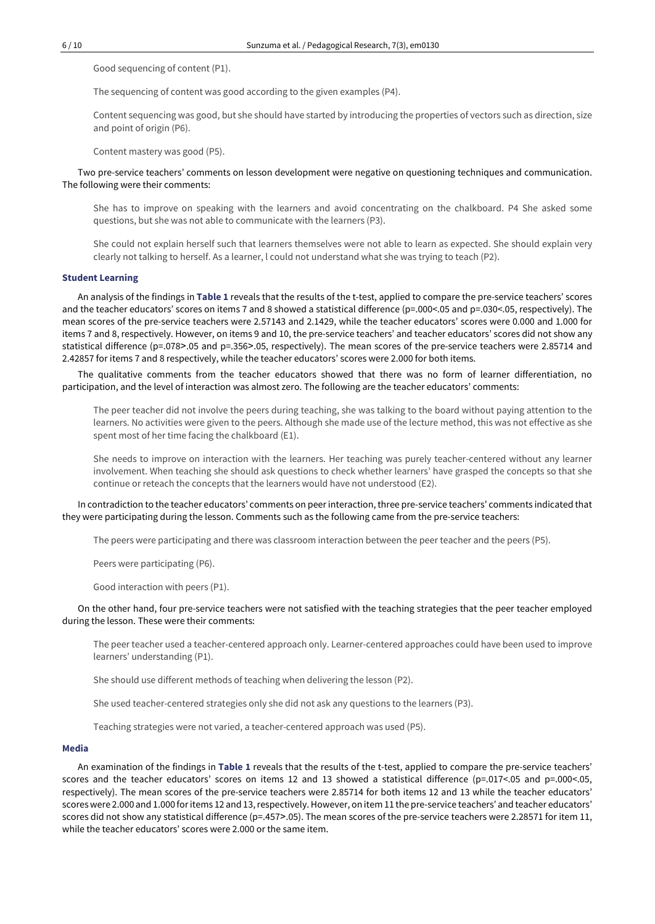Good sequencing of content (P1).

The sequencing of content was good according to the given examples (P4).

Content sequencing was good, but she should have started by introducing the properties of vectors such as direction, size and point of origin (P6).

Content mastery was good (P5).

Two pre-service teachers' comments on lesson development were negative on questioning techniques and communication. The following were their comments:

She has to improve on speaking with the learners and avoid concentrating on the chalkboard. P4 She asked some questions, but she was not able to communicate with the learners (P3).

She could not explain herself such that learners themselves were not able to learn as expected. She should explain very clearly not talking to herself. As a learner, l could not understand what she was trying to teach (P2).

### **Student Learning**

An analysis of the findings in **Table 1** reveals that the results of the t-test, applied to compare the pre-service teachers' scores and the teacher educators' scores on items 7 and 8 showed a statistical difference (p=.000<.05 and p=.030<.05, respectively). The mean scores of the pre-service teachers were 2.57143 and 2.1429, while the teacher educators' scores were 0.000 and 1.000 for items 7 and 8, respectively. However, on items 9 and 10, the pre-service teachers' and teacher educators' scores did not show any statistical difference (p=.078>.05 and p=.356>.05, respectively). The mean scores of the pre-service teachers were 2.85714 and 2.42857 for items 7 and 8 respectively, while the teacher educators' scores were 2.000 for both items.

The qualitative comments from the teacher educators showed that there was no form of learner differentiation, no participation, and the level of interaction was almost zero. The following are the teacher educators' comments:

The peer teacher did not involve the peers during teaching, she was talking to the board without paying attention to the learners. No activities were given to the peers. Although she made use of the lecture method, this was not effective as she spent most of her time facing the chalkboard (E1).

She needs to improve on interaction with the learners. Her teaching was purely teacher-centered without any learner involvement. When teaching she should ask questions to check whether learners' have grasped the concepts so that she continue or reteach the concepts that the learners would have not understood (E2).

In contradiction to the teacher educators' comments on peer interaction, three pre-service teachers' comments indicated that they were participating during the lesson. Comments such as the following came from the pre-service teachers:

The peers were participating and there was classroom interaction between the peer teacher and the peers (P5).

Peers were participating (P6).

Good interaction with peers (P1).

### On the other hand, four pre-service teachers were not satisfied with the teaching strategies that the peer teacher employed during the lesson. These were their comments:

The peer teacher used a teacher-centered approach only. Learner-centered approaches could have been used to improve learners' understanding (P1).

She should use different methods of teaching when delivering the lesson (P2).

She used teacher-centered strategies only she did not ask any questions to the learners (P3).

Teaching strategies were not varied, a teacher-centered approach was used (P5).

#### **Media**

An examination of the findings in **Table 1** reveals that the results of the t-test, applied to compare the pre-service teachers' scores and the teacher educators' scores on items 12 and 13 showed a statistical difference (p=.017<.05 and p=.000<.05, respectively). The mean scores of the pre-service teachers were 2.85714 for both items 12 and 13 while the teacher educators' scoreswere 2.000 and 1.000 foritems 12 and 13,respectively.However, on item 11 the pre-service teachers' and teacher educators' scores did not show any statistical difference (p=.457>.05). The mean scores of the pre-service teachers were 2.28571 for item 11, while the teacher educators' scores were 2.000 or the same item.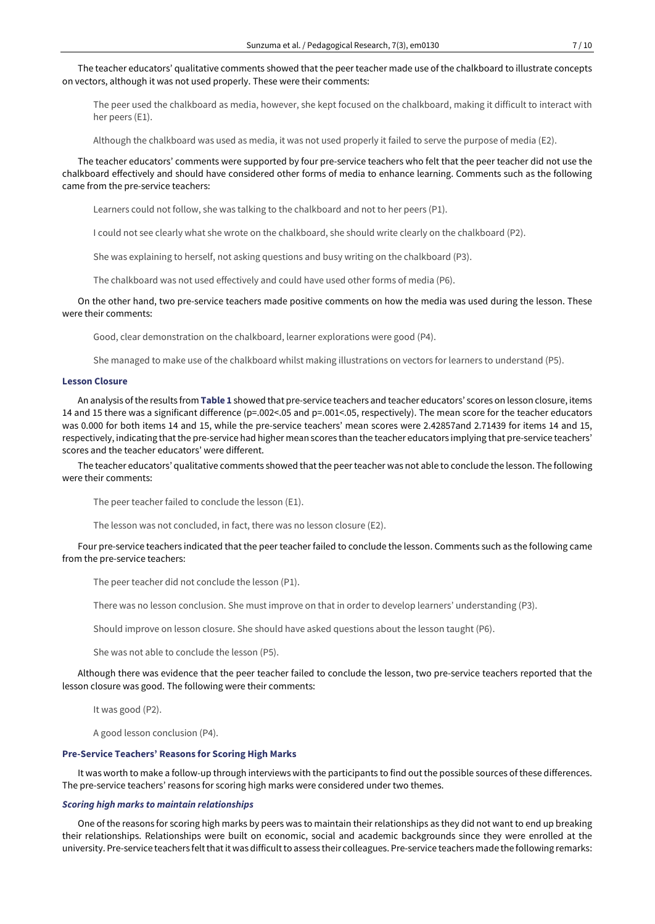The teacher educators' qualitative comments showed that the peer teacher made use of the chalkboard to illustrate concepts on vectors, although it was not used properly. These were their comments:

The peer used the chalkboard as media, however, she kept focused on the chalkboard, making it difficult to interact with her peers (E1).

Although the chalkboard was used as media, it was not used properly it failed to serve the purpose of media (E2).

The teacher educators' comments were supported by four pre-service teachers who felt that the peer teacher did not use the chalkboard effectively and should have considered other forms of media to enhance learning. Comments such as the following came from the pre-service teachers:

Learners could not follow, she was talking to the chalkboard and not to her peers (P1).

I could not see clearly what she wrote on the chalkboard, she should write clearly on the chalkboard (P2).

She was explaining to herself, not asking questions and busy writing on the chalkboard (P3).

The chalkboard was not used effectively and could have used other forms of media (P6).

On the other hand, two pre-service teachers made positive comments on how the media was used during the lesson. These were their comments:

Good, clear demonstration on the chalkboard, learner explorations were good (P4).

She managed to make use of the chalkboard whilst making illustrations on vectors for learners to understand (P5).

#### **Lesson Closure**

An analysis ofthe results from **Table 1** showed that pre-service teachers and teacher educators' scores on lesson closure, items 14 and 15 there was a significant difference (p=.002<.05 and p=.001<.05, respectively). The mean score for the teacher educators was 0.000 for both items 14 and 15, while the pre-service teachers' mean scores were 2.42857and 2.71439 for items 14 and 15, respectively, indicating that the pre-service had higher mean scores than the teacher educators implying that pre-service teachers' scores and the teacher educators' were different.

The teacher educators' qualitative comments showed that the peer teacher was not able to conclude the lesson. The following were their comments:

The peer teacher failed to conclude the lesson (E1).

The lesson was not concluded, in fact, there was no lesson closure (E2).

Four pre-service teachers indicated that the peer teacher failed to conclude the lesson. Comments such as the following came from the pre-service teachers:

The peer teacher did not conclude the lesson (P1).

There was no lesson conclusion. She must improve on that in order to develop learners' understanding (P3).

Should improve on lesson closure. She should have asked questions about the lesson taught (P6).

She was not able to conclude the lesson (P5).

Although there was evidence that the peer teacher failed to conclude the lesson, two pre-service teachers reported that the lesson closure was good. The following were their comments:

It was good (P2).

A good lesson conclusion (P4).

### **Pre-Service Teachers' Reasons for Scoring High Marks**

It was worth to make a follow-up through interviews with the participants to find out the possible sources of these differences. The pre-service teachers' reasons for scoring high marks were considered under two themes.

#### *Scoring high marks to maintain relationships*

One of the reasons for scoring high marks by peers was to maintain their relationships as they did not want to end up breaking their relationships. Relationships were built on economic, social and academic backgrounds since they were enrolled at the university. Pre-service teachers felt that it was difficult to assess their colleagues. Pre-service teachers made the following remarks: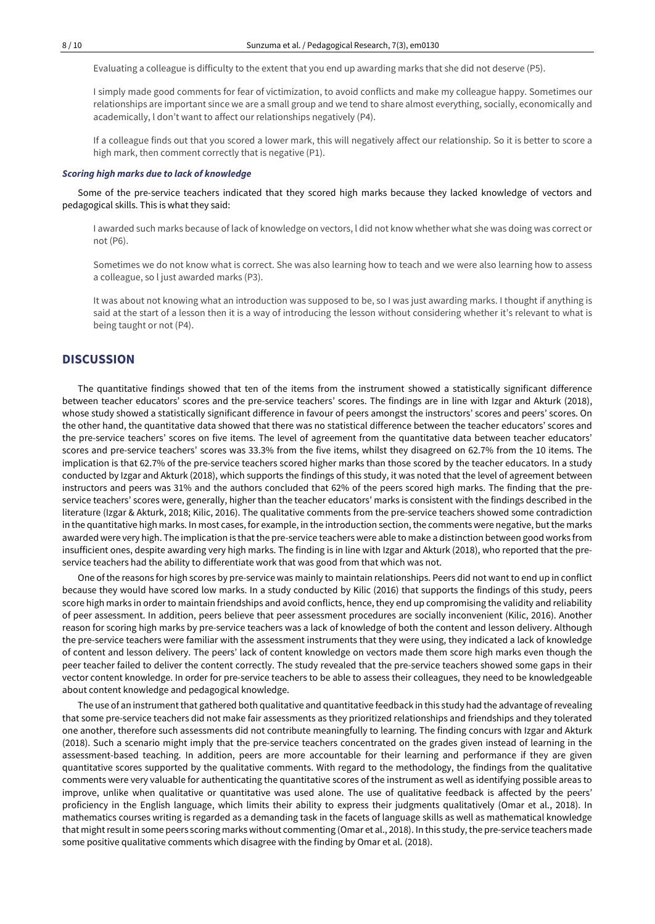Evaluating a colleague is difficulty to the extent that you end up awarding marks that she did not deserve (P5).

I simply made good comments for fear of victimization, to avoid conflicts and make my colleague happy. Sometimes our relationships are important since we are a small group and we tend to share almost everything, socially, economically and academically, l don't want to affect our relationships negatively (P4).

If a colleague finds out that you scored a lower mark, this will negatively affect our relationship. So it is better to score a high mark, then comment correctly that is negative (P1).

# *Scoring high marks due to lack of knowledge*

Some of the pre-service teachers indicated that they scored high marks because they lacked knowledge of vectors and pedagogical skills. This is what they said:

I awarded such marks because of lack of knowledge on vectors, l did not know whether what she was doing was correct or not (P6).

Sometimes we do not know what is correct. She was also learning how to teach and we were also learning how to assess a colleague, so l just awarded marks (P3).

It was about not knowing what an introduction was supposed to be, so I was just awarding marks. I thought if anything is said at the start of a lesson then it is a way of introducing the lesson without considering whether it's relevant to what is being taught or not (P4).

## **DISCUSSION**

The quantitative findings showed that ten of the items from the instrument showed a statistically significant difference between teacher educators' scores and the pre-service teachers' scores. The findings are in line with Izgar and Akturk (2018), whose study showed a statistically significant difference in favour of peers amongst the instructors' scores and peers' scores. On the other hand, the quantitative data showed that there was no statistical difference between the teacher educators' scores and the pre-service teachers' scores on five items. The level of agreement from the quantitative data between teacher educators' scores and pre-service teachers' scores was 33.3% from the five items, whilst they disagreed on 62.7% from the 10 items. The implication is that 62.7% of the pre-service teachers scored higher marks than those scored by the teacher educators. In a study conducted by Izgar and Akturk (2018), which supports the findings of this study, it was noted that the level of agreement between instructors and peers was 31% and the authors concluded that 62% of the peers scored high marks. The finding that the preservice teachers' scores were, generally, higher than the teacher educators' marks is consistent with the findings described in the literature (Izgar & Akturk, 2018; Kilic, 2016). The qualitative comments from the pre-service teachers showed some contradiction in the quantitative high marks. In most cases, for example, in the introduction section, the comments were negative, but the marks awarded were very high. The implication is thatthe pre-service teachers were able to make a distinction between good works from insufficient ones, despite awarding very high marks. The finding is in line with Izgar and Akturk (2018), who reported that the preservice teachers had the ability to differentiate work that was good from that which was not.

One of the reasons for high scores by pre-service was mainly to maintain relationships. Peers did not wantto end up in conflict because they would have scored low marks. In a study conducted by Kilic (2016) that supports the findings of this study, peers score high marks in order to maintain friendships and avoid conflicts, hence, they end up compromising the validity and reliability of peer assessment. In addition, peers believe that peer assessment procedures are socially inconvenient (Kilic, 2016). Another reason for scoring high marks by pre-service teachers was a lack of knowledge of both the content and lesson delivery. Although the pre-service teachers were familiar with the assessment instruments that they were using, they indicated a lack of knowledge of content and lesson delivery. The peers' lack of content knowledge on vectors made them score high marks even though the peer teacher failed to deliver the content correctly. The study revealed that the pre-service teachers showed some gaps in their vector content knowledge. In order for pre-service teachers to be able to assess their colleagues, they need to be knowledgeable about content knowledge and pedagogical knowledge.

The use of an instrument that gathered both qualitative and quantitative feedback in this study had the advantage of revealing that some pre-service teachers did not make fair assessments as they prioritized relationships and friendships and they tolerated one another, therefore such assessments did not contribute meaningfully to learning. The finding concurs with Izgar and Akturk (2018). Such a scenario might imply that the pre-service teachers concentrated on the grades given instead of learning in the assessment-based teaching. In addition, peers are more accountable for their learning and performance if they are given quantitative scores supported by the qualitative comments. With regard to the methodology, the findings from the qualitative comments were very valuable for authenticating the quantitative scores of the instrument as well as identifying possible areas to improve, unlike when qualitative or quantitative was used alone. The use of qualitative feedback is affected by the peers' proficiency in the English language, which limits their ability to express their judgments qualitatively (Omar et al., 2018). In mathematics courses writing is regarded as a demanding task in the facets of language skills as well as mathematical knowledge that might result in some peers scoring marks without commenting (Omar et al., 2018). In this study, the pre-service teachers made some positive qualitative comments which disagree with the finding by Omar et al. (2018).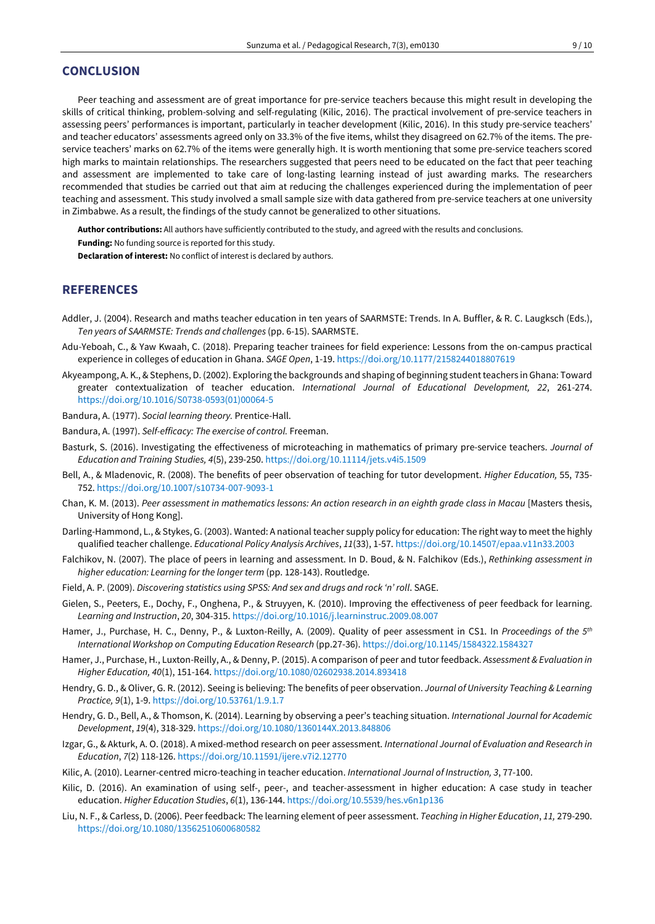# **CONCLUSION**

Peer teaching and assessment are of great importance for pre-service teachers because this might result in developing the skills of critical thinking, problem-solving and self-regulating (Kilic, 2016). The practical involvement of pre-service teachers in assessing peers' performances is important, particularly in teacher development (Kilic, 2016). In this study pre-service teachers' and teacher educators' assessments agreed only on 33.3% of the five items, whilst they disagreed on 62.7% of the items. The preservice teachers' marks on 62.7% of the items were generally high. It is worth mentioning that some pre-service teachers scored high marks to maintain relationships. The researchers suggested that peers need to be educated on the fact that peer teaching and assessment are implemented to take care of long-lasting learning instead of just awarding marks. The researchers recommended that studies be carried out that aim at reducing the challenges experienced during the implementation of peer teaching and assessment. This study involved a small sample size with data gathered from pre-service teachers at one university in Zimbabwe. As a result, the findings of the study cannot be generalized to other situations.

**Author contributions:** All authors have sufficiently contributed to the study, and agreed with the results and conclusions.

**Funding:** No funding source is reported for this study.

**Declaration of interest:** No conflict of interest is declared by authors.

# **REFERENCES**

- Addler, J. (2004). Research and maths teacher education in ten years of SAARMSTE: Trends. In A. Buffler, & R. C. Laugksch (Eds.), *Ten years of SAARMSTE: Trends and challenges* (pp. 6-15). SAARMSTE.
- Adu-Yeboah, C., & Yaw Kwaah, C. (2018). Preparing teacher trainees for field experience: Lessons from the on-campus practical experience in colleges of education in Ghana. *SAGE Open*, 1-19. <https://doi.org/10.1177/2158244018807619>
- Akyeampong, A. K., & Stephens, D. (2002). Exploring the backgrounds and shaping of beginning studentteachers in Ghana: Toward greater contextualization of teacher education. *International Journal of Educational Development, 22*, 261-274. [https://doi.org/10.1016/S0738-0593\(01\)00064-5](https://doi.org/10.1016/S0738-0593(01)00064-5)
- Bandura, A. (1977). *Social learning theory.* Prentice-Hall.
- Bandura, A. (1997). *Self-efficacy: The exercise of control.* Freeman.
- Basturk, S. (2016). Investigating the effectiveness of microteaching in mathematics of primary pre-service teachers. *Journal of Education and Training Studies, 4*(5), 239-250. <https://doi.org/10.11114/jets.v4i5.1509>
- Bell, A., & Mladenovic, R. (2008). The benefits of peer observation of teaching for tutor development. *Higher Education,* 55, 735- 752. <https://doi.org/10.1007/s10734-007-9093-1>
- Chan, K. M. (2013). Peer assessment in mathematics lessons: An action research in an eighth grade class in Macau [Masters thesis, University of Hong Kong].
- Darling-Hammond, L., & Stykes, G. (2003). Wanted: A national teacher supply policy for education: The right way to meetthe highly qualified teacher challenge. *Educational Policy Analysis Archives*, *11*(33), 1-57. <https://doi.org/10.14507/epaa.v11n33.2003>
- Falchikov, N. (2007). The place of peers in learning and assessment. In D. Boud, & N. Falchikov (Eds.), *Rethinking assessment in higher education: Learning for the longer term* (pp. 128-143). Routledge.
- Field, A. P. (2009). *Discovering statistics using SPSS: And sex and drugs and rock 'n' roll*. SAGE.
- Gielen, S., Peeters, E., Dochy, F., Onghena, P., & Struyyen, K. (2010). Improving the effectiveness of peer feedback for learning. *Learning and Instruction*, *20*, 304-315. <https://doi.org/10.1016/j.learninstruc.2009.08.007>
- Hamer, J., Purchase, H. C., Denny, P., & Luxton-Reilly, A. (2009). Quality of peer assessment in CS1. In *Proceedings of the 5 th International Workshop on Computing Education Research* (pp.27-36). <https://doi.org/10.1145/1584322.1584327>
- Hamer, J., Purchase, H., Luxton-Reilly, A., & Denny, P. (2015). A comparison of peer and tutor feedback. *Assessment & Evaluation in Higher Education, 40*(1), 151-164. <https://doi.org/10.1080/02602938.2014.893418>
- Hendry, G. D., & Oliver, G. R. (2012). Seeing is believing: The benefits of peer observation. *Journal of University Teaching & Learning Practice, 9*(1), 1-9. <https://doi.org/10.53761/1.9.1.7>
- Hendry, G. D., Bell, A., & Thomson, K. (2014). Learning by observing a peer's teaching situation. *International Journal for Academic Development*, *19*(4), 318-329. <https://doi.org/10.1080/1360144X.2013.848806>
- Izgar, G., & Akturk, A. O. (2018). A mixed-method research on peer assessment. *International Journal of Evaluation and Research in Education*, *7*(2) 118-126. <https://doi.org/10.11591/ijere.v7i2.12770>
- Kilic, A. (2010). Learner-centred micro-teaching in teacher education. *International Journal of Instruction, 3*, 77-100.
- Kilic, D. (2016). An examination of using self-, peer-, and teacher-assessment in higher education: A case study in teacher education. *Higher Education Studies*, *6*(1), 136-144. <https://doi.org/10.5539/hes.v6n1p136>
- Liu, N. F., & Carless, D. (2006). Peer feedback: The learning element of peer assessment. *Teaching in Higher Education*, *11,* 279-290. <https://doi.org/10.1080/13562510600680582>